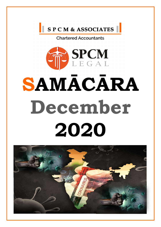





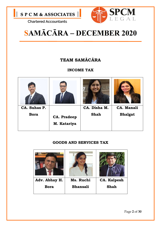



# SAMĀCĀRA – DECEMBER 2020

### TEAM SAMĀCĀRA

### INCOME TAX



### GOODS AND SERVICES TAX

| Adv. Abhay H. | Ms. Ruchi       | <b>CA. Kalpesh</b> |
|---------------|-----------------|--------------------|
| <b>Bora</b>   | <b>Bhansali</b> | <b>Shah</b>        |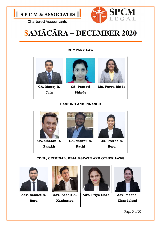



# SAMĀCĀRA – DECEMBER 2020

#### COMPANY LAW

| CA. Manoj R. | <b>CS. Pranoti</b> | Ms. Purva Bhide |
|--------------|--------------------|-----------------|
| Jain         | <b>Shinde</b>      |                 |
|              |                    |                 |

#### BANKING AND FINANCE



#### CIVIL, CRIMINAL, REAL ESTATE AND OTHER LAWS

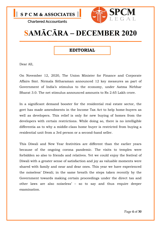



### SAMĀCĀRA – DECEMBER 2020

### **EDITORIAL**

Dear All,

On November 12, 2020, The Union Minister for Finance and Corporate Affairs Smt. Nirmala Sitharaman announced 12 key measures as part of Government of India's stimulus to the economy, under Aatma Nirbhar Bharat 3.0. The net stimulus announced amounts to Rs 2.65 Lakh crore.

In a significant demand booster for the residential real estate sector, the govt has made amendments in the Income Tax Act to help home-buyers as well as developers. This relief is only for new buying of homes from the developers with certain restrictions. While doing so, there is no intelligible differentia as to why a middle-class home buyer is restricted from buying a residential unit from a 3rd person or a second-hand seller.

This Diwali and New Year festivities are different than the earlier years because of the ongoing corona pandemic. The visits to temples were forbidden so also to friends and relatives. Yet we could enjoy the festival of Diwali with a greater sense of satisfaction and joy as valuable moments were shared with family and near and dear ones. This year we have experienced the noiseless' Diwali; in the same breath the steps taken recently by the Government towards making certain proceedings under the direct tax and other laws are also noiseless' – so to say and thus require deeper examination.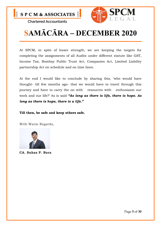



# SAMĀCĀRA – DECEMBER 2020

At SPCM, in spite of lesser strength, we are keeping the targets for completing the assignments of all Audits under different statute like GST, Income Tax, Bombay Public Trust Act, Companies Act, Limited Liability partnership Act on schedule and on time lines.

At the end I would like to conclude by sharing this, 'who would have thought- till few months ago- that we would have to travel through this journey and have to carry the on with resources with enthusiasm our work and our life?' As is said "As long as there is life, there is hope. As long as there is hope, there is a life."

Till then, be safe and keep others safe.

With Warm Regards,



CA. Suhas P. Bora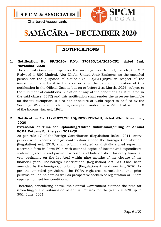



# SAMĀCĀRA – DECEMBER 2020

### NOTIFICATIONS

#### 1. Notification No. 89/2020/ F.No. 370133/16/2020-TPL, dated 2nd, November, 2020

The Central Government specifies the sovereign wealth fund, namely, the MIC Redwood 1 RSC Limited, Abu Dhabi, United Arab Emirates, as the specified person for the purposes of clause  $u/s$ .  $10(23FE)(b)(vi)$  in respect of the investment made by it in India on or after the date of publication of this notification in the Official Gazette but on or before 31st March, 2024 subject to the fulfilment of conditions. Violation of any of the conditions as stipulated in the said clause (23FE) and this notification shall render the assessee ineligible for the tax exemption. It also has annexure of Audit report to be filed by the Sovereign Wealth Fund claiming exemption under clause (23FE) of section 10 of the Income -tax Act, 1961.

#### 2. Notification No. 11/21022/23(15)/2020-FCRA-III, dated 23rd, November, 2020

#### Extension of Time for Uploading/Online Submission/Filing of Annual FCRA Returns for the year 2019-20

As per rule 17 of the Foreign Contribution (Regulation) Rules, 2011, every person who receives foreign contribution under the Foreign Contribution (Regulation) Act, 2010, shall submit a signed or digitally signed report in electronic form in Form FC-4 with scanned copies of income and expenditure statement, receipt and payment account and balance sheet for every financial year beginning on the 1st April within nine months of the closure of the financial year. The Foreign Contribution (Regulation) Act, 2010 has been amended by the Foreign Contribution (Regulation) Amendment Act, 2020. As per the amended provisions, the FCRA registered associations and prior permission (PP) holders as well as prospective seekers of registration or PP are required to meet few conditions.

Therefore, considering above, the Central Government extends the time for uploading/online submission of annual returns for the year 2019-20 up to 30th June, 2021.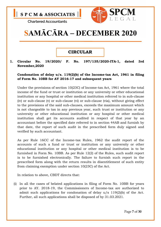



## SAMĀCĀRA – DECEMBER 2020

### **CIRCULAR**

#### 1. Circular No. 19/2020/ F. No. 197/135/2020-ITA-1, dated 3rd November,2020

#### Condonation of delay u/s. 119(2)(b) of the Income-tax Act, 1961 in filing of Form No. 10BB for AY 2016-17 and subsequent years

Under the provisions of section 10(23C) of Income-tax Act, 1961 where the total income of the fund or trust or institution or any university or other educational institution or any hospital or other medical institution referred to in sub-clause (iv) or sub-clause (v) or sub-clause (vi) or sub-clause (via), without giving effect to the provisions of the said sub-clauses, exceeds the maximum amount which is not chargeable to tax in any previous year, such trust or institution or any university or other educational institution or any hospital or other medical institution shall get its accounts audited in respect of that year by an accountant before the specified date referred to in section 44AB and furnish by that date, the report of such audit in the prescribed form duly signed and verified by such accountant.

As per Rule 16CC of the Income-tax Rules, 1962 the audit report of the accounts of such a fund or trust or institution or any university or other educational institution or any hospital or other medical institution is to be furnished in Form No. 10BB. As per Rule 12(2) of the Rules, such audit report is to be furnished electronically. The failure to furnish such report in the prescribed form along with the return results in disentitlement of such entity from claiming exemption under section 10(23C) of the Act.

In relation to above, CBDT directs that:

(i) In all the cases of belated applications in filing of Form No. 10BB for years prior to AY. 2018-19, the Commissioners of Income-tax are authorized to admit such applications for condonation of delay u/s 119(2)(b) of the Act. Further, all such applications shall be disposed of by 31.03.2021.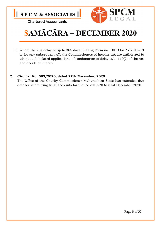



# SAMĀCĀRA – DECEMBER 2020

(ii) Where there is delay of up to 365 days in filing Form no. 10BB for AY 2018-19 or for any subsequent AY, the Commissioners of Income-tax are authorized to admit such belated applications of condonation of delay u/s. 119(2) of the Act and decide on merits.

#### 2. Circular No. 583/2020, dated 27th November, 2020

The Office of the Charity Commissioner Maharashtra State has extended due date for submitting trust accounts for the FY 2019-20 to 31st December 2020.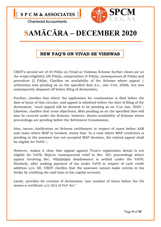



### SAMĀCĀRA – DECEMBER 2020

### NEW FAQ'S ON VIVAD SE VISHWAS

CBDT's second set of 34 FAQs on Vivad se Vishwas Scheme further clears air on the scope/eligibility (20 FAQs), computation (4 FAQs), consequences (8 FAQs) and procedure (2 FAQs); Clarifies on availability of the Scheme where appeal / arbitration was pending as on the specified date (i.e., Jan 31st, 2020), but was subsequently disposed off before filing of declaration;

Further, clarifies that where the application for condonation is filed before the date of issue of this circular, and appeal is admitted before the date of filing of the declaration, "such appeal will be deemed to be pending as on 31st Jan, 2020."; Likewise, clarifies that cross objections, MAs pending as on the specified date will also be covered under the Scheme, however, denies availability of Scheme where proceedings are pending before the Settlement Commission;

Also, issues clarification on Scheme entitlement in respect of cases before AAR and cases where MAP is invoked, states that "in a case where MAP resolution is pending or the assessee has not accepted MAP decision, the related appeal shall be eligible for VsVS.";

However, makes it clear that appeal against Trust's registration denial is not eligible for VsVS; Rejects consequential relief in Sec. 201 proceedings where appeal involving Sec. 40(a)(ia)(ia) disallowance is settled under the VsVS; Similarly, after making payment of tax under VsVS in respect of cash credit addition u/s. 68, CBDT clarifies that the assessee cannot make entries in his books by crediting the said loan in his capital account;

Lastly, provides for revision of declaration "any number of times before the DA issues a certificate u/s 5(1) of VsV Act."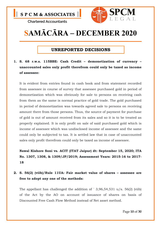



### SAMĀCĀRA – DECEMBER 2020

### UNREPORTED DECISIONS

### 1. S. 68 r.w.s. 115BBE: Cash Credit – demonetization of currency – unaccounted sales only profit therefrom could only be taxed as income of assessee:

It is evident from entries found in cash book and from statement recorded from assessee in course of survey that assessee purchased gold in period of demonetization which was obviously for sale to persons on receiving cash from them as the same is normal practice of gold trade. The gold purchased in period of demonetization was towards agreed sale to persons on receiving amount there from those persons. Thus, the source of payment for purchase of gold is out of amount received from its sales and so it is to be treated as properly explained. It is only profit on sale of said purchased gold which is income of assessee which was undisclosed income of assessee and the same could only be subjected to tax. It is settled law that in case of unaccounted sales only profit therefrom could only be taxed as income of assessee.

Nawal Kishore Soni vs. ACIT (ITAT Jaipur) dt: September 15, 2020; ITA No. 1307, 1308, & 1309/JP/2019; Assessment Years: 2015-16 to 2017- 18

### 2. S. 56(2) (viib)/Rule 11UA: Fair market value of shares – assessee are free to adopt any one of the methods:

The appellant has challenged the addition of  $\hat{ }$  3,96,54,531 u/s. 56(2) (viib) of the Act by the AO on account of issuance of shares on basis of Discounted Free Cash Flow Method instead of Net asset method.

Page 10 of 30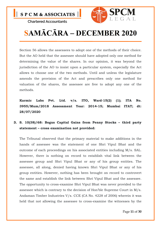



# SAMĀCĀRA – DECEMBER 2020

Section 56 allows the assessees to adopt one of the methods of their choice. But the AO held that the assessee should have adopted only one method for determining the value of the shares. In our opinion, it was beyond the jurisdiction of the AO to insist upon a particular system, especially the Act allows to choose one of the two methods. Until and unless the legislature amends the provision of the Act and prescribes only one method for valuation of the shares, the assessee are free to adopt any one of the methods.

Karmic Labs Pvt. Ltd. v/s. ITO, Ward-15(2) (1); ITA No. 3955/Mum/2018 Assessment Year: 2014-15; Mumbai ITAT; dt: 28/07/2020

### 3. S. 10(38)/68: Bogus Capital Gains from Penny Stocks – third party statement – cross examination not provided:

The Tribunal observed that the primary material to make additions in the hands of assessee was the statement of one Shri Vipul Bhat and the outcome of each proceedings on his associated entities including M/s. SAL. However, there is nothing on record to establish vital link between the assessee group and Shri Vipul Bhat or any of his group entities. The assessee, all along, denied having known Shri Vipul Bhat or any of his group entities. However, nothing has been brought on record to controvert the same and establish the link between Shri Vipul Bhat and the assessee. The opportunity to cross-examine Shri Vipul Bhat was never provided to the assessee which is contrary to the decision of Hon'ble Supreme Court in M/s. Andaman Timber Industries V/s. CCE (CA No. 4228 of 2006) wherein it was held that not allowing the assessee to cross-examine the witnesses by the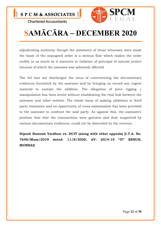

# SAMĀCĀRA – DECEMBER 2020

adjudicating authority though the statement of those witnesses were made the basis of the impugned order is a serious flaw which makes the order nullity in as much as it amounts to violation of principal of natural justice because of which the assessee was adversely affected

The AO has not discharged the onus of controverting the documentary evidences furnished by the assessee and by bringing on record any cogent material to sustain the addition. The allegation of price rigging / manipulation has been levied without establishing the vital link between the assessee and other entities. The whole basis of making additions is third party statement and no opportunity of cross-examination has been provided to the assessee to confront the said party. As against this, the assessee's position that that the transactions were genuine and duly supported by various documentary evidences, could not be disturbed by the revenue.

Dipesh Ramesh Vardhan vs. DCIT (along with other appeals) [I.T.A. No. 7648/Mum/2019 dated: 11/8/2020, AY: 2014-15 "D" BENCH, MUMBAI]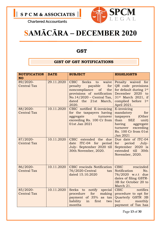



### SAMĀCĀRA – DECEMBER 2020

### **GST**

### GIST OF GST NOTIFICATIONS

| <b>NOTIFICATION</b><br><b>NO</b> | <b>DATE</b> | <b>SUBJECT</b>                                                                                                                                                                          | <b>HIGHLIGHTS</b>                                                                                                                                                         |
|----------------------------------|-------------|-----------------------------------------------------------------------------------------------------------------------------------------------------------------------------------------|---------------------------------------------------------------------------------------------------------------------------------------------------------------------------|
| 89/2020-<br><b>Central Tax</b>   | 29.11.2020  | CBIC Seeks<br>to waive<br>payable<br>for<br>penalty<br>noncompliance<br>$\sigma$ of<br>the<br>provisions of notification<br>No.14/2020 - Central Tax,<br>dated the 21st March,<br>2020. | Penalty waived for<br>QR code provisions<br>for default during 1st<br>December 2020 to<br>$31st$ March 2021, if<br>complied before 1st<br>April 2021.                     |
| 88/2020-<br><b>Central Tax</b>   | 10.11.2020  | CBIC notified E-invoicing<br>for the taxpayers having<br>aggregate<br>turnover<br>exceeding Rs. 100 Cr from<br>01st Jan 2021                                                            | E-invoicing<br>mandatory<br>for<br>taxpayers<br>(Other<br><b>SEZ</b><br>than<br>unit)<br>having<br>aggregate<br>exceeding<br>turnover<br>Rs. 100 Cr from 01st<br>Jan 2021 |
| 87/2020-<br><b>Central Tax</b>   | 10.11.2020  | CBIC extended the due<br>ITC-04 for period<br>date<br>July- September 2020 till<br>30th November, 2020.                                                                                 | Due date of ITC-04<br>period<br>July-<br>for<br>September 2020 is<br>extended till 30th<br>November, 2020.                                                                |
| 86/2020-<br><b>Central Tax</b>   | 10.11.2020  | CBIC rescinds Notification<br>76/2020-Central<br>tax<br>dated 15.10.2020                                                                                                                | rescinded<br><b>CBIC</b><br>Notification<br>No.<br>76/2020 w.r.t due<br>dates of filing GSTR-<br>3B for October 20 to<br>March 21.                                        |
| 85/2020-<br><b>Central Tax</b>   | 10.11.2020  | Seeks to<br>notify special<br>for<br>making<br>procedure<br>payment of 35% as tax<br>liability<br>first<br>in<br>two<br>months                                                          | <b>CBIC</b><br>notifies<br>procedure to opt for<br>Quarterly GSTR 3B<br>but<br>monthly<br>payment of Tax has                                                              |

Page 13 of 30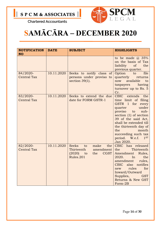

### SAMĀCĀRA – DECEMBER 2020

| <b>NOTIFICATION</b>            | <b>DATE</b> | <b>SUBJECT</b>                                                                                                 | <b>HIGHLIGHTS</b>                                                                                                                                                                                                                                                                                                      |
|--------------------------------|-------------|----------------------------------------------------------------------------------------------------------------|------------------------------------------------------------------------------------------------------------------------------------------------------------------------------------------------------------------------------------------------------------------------------------------------------------------------|
| <b>NO</b>                      |             |                                                                                                                |                                                                                                                                                                                                                                                                                                                        |
|                                |             |                                                                                                                | to be made $\omega$ 35%<br>on the basis of Tax<br>liability of<br>the<br>previous quarter.                                                                                                                                                                                                                             |
| 84/2020-<br><b>Central Tax</b> | 10.11.2020  | Seeks to notify class of<br>persons under proviso to<br>section $39(1)$ .                                      | file<br>Option<br>to<br>quarterly<br>returns<br>available<br>now<br>to<br>having<br>taxpayers<br>turnover up to Rs. 5<br>Cr.                                                                                                                                                                                           |
| 83/2020-<br><b>Central Tax</b> | 10.11.2020  | Seeks to extend the due<br>date for FORM GSTR-1                                                                | <b>CBIC</b><br>extends<br>the<br>time limit of filing<br>GSTR 1<br>for every<br>under<br>quarter<br>proviso<br>to<br>sub-<br>section (1) of section<br>39 of the said Act,<br>shall be extended till<br>the thirteenth day of<br>the<br>month<br>succeeding such tax<br>period. W.e.f.<br>1 <sup>ST</sup><br>Jan 2020. |
| 82/2020-<br><b>Central Tax</b> | 10.11.2020  | <b>Seeks</b><br>make<br>the<br>to<br>Thirteenth<br>amendment<br>$(2020)$ to<br><b>CGST</b><br>the<br>Rules.201 | CBIC has released<br>Thirteenth<br>the<br>Rules,<br>Amendment<br>2020.<br>the<br>In<br>amendment<br>rules,<br>CBIC<br>also<br>notifies<br>for<br>rules<br>new<br>Inward/Outward<br>Supplies,<br><b>GST</b><br>Returns & New GST<br>Form-2B                                                                             |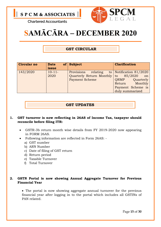



### SAMĀCĀRA – DECEMBER 2020

### GST CIRCULAR

| <b>Circular no</b> | <b>Date</b><br>issue | of $\vert$ Subject                                                                     | <b>Clarification</b>                                                                                                |
|--------------------|----------------------|----------------------------------------------------------------------------------------|---------------------------------------------------------------------------------------------------------------------|
| 143/2020           | $10-11-$<br>2020     | relating<br>Provisions<br>Quarterly Return Monthly to 85/2020<br><b>Payment Scheme</b> | to   Notification $81/2020$<br>on<br>ORMP<br>Quarterly<br>Monthly<br>Return<br>Payment Scheme is<br>duly summarized |

#### GST UPDATES

#### 1. GST turnover is now reflecting in 26AS of Income Tax, taxpayer should reconcile before filing ITR:

- GSTR-3b return month wise details from FY 2019-2020 now appearing in FORM 26AS.
- Following information are reflected in Form 26AS:
	- a) GST number
	- b) ARN Number
	- c) Date of filing of GST return
	- d) Return period
	- e) Taxable Turnover
	- f) Total Turnover

#### 2. GSTN Portal is now showing Annual Aggregate Turnover for Previous Financial Year

 The portal is now showing aggregate annual turnover for the previous financial year after logging in to the portal which includes all GSTINs of PAN related.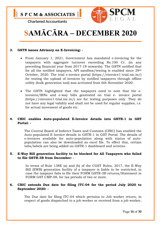



# SAMĀCĀRA – DECEMBER 2020

#### 3. GSTN issues Advisory on E-Invoicing: -

- From January 1, 2021, Government has mandated e-invoicing for the taxpayers with aggregate turnover exceeding Rs.100 Cr. (in any preceding financial year from 2017-18 onwards). The GSTN notified that for all the notified taxpayers, API sandbox/testing is enabled since 29th October, 2020. The trial e-invoice portal (https://einvoice1-trial.nic.in/) for testing the upload of invoices by notified taxpayers through offline utility (bulk generation tool) was activated from 6th November 2020.
- The GSTN highlighted that the taxpayers need to note that the einvoices/IRNs and e-way bills generated on trial e- invoice portal (https://einvoice1-trial.nic.in/) are for testing purposes only. They do not have any legal validity and shall not be used for regular supplies, i.e. for actual movement of goods etc.

#### 4. CBIC enables Auto-populated E-Invoice details into GSTR-1 in GST Portal: -

The Central Board of Indirect Taxes and Customs (CBIC) has enabled the Auto-populated E Invoice details in GSTR-1 in GST Portal. The details of e-invoices available for auto-population along with status of autopopulation can also be downloaded as excel file. To effect this, certain tabs/labels are being added on GSTR-1 dashboard and screens.

#### 5. E-Way Bill generation facility to be blocked for All Taxpayers who failed to file GSTR-3B from December: -

In terms of Rule 138E (a) and (b) of the CGST Rules, 2017, the E-Way Bill (EWB) generation facility of a taxpayer is liable to be restricted, in case the taxpayer fails to file their FORM GSTR-3B returns/Statement in FORM GST CMP-08, for tax periods of two or more.

#### 6. CBIC extends Due date for filing ITC-04 for the period July 2020 to September 2020: -

The Due date for filing ITC-04 which pertains to Job worker return, in respect of goods dispatched to a job worker or received from a job worker,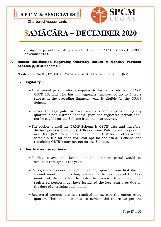

# SAMĀCĀRA – DECEMBER 2020

during the period from July 2020 to September 2020 extended to 30th November 2020.

#### 7. Recent Notification Regarding Quarterly Return & Monthly Payment Scheme (QRPM Scheme): -

Notification No.81, 82, 84, 85/2020 dated 10.11.2020 related to QRMP.

#### $\triangleright$  Eligibility –

- A registered person who is required to furnish a return in FORM GSTR-3B, and who has an aggregate turnover of up to 5 crore rupees in the preceding financial year, is eligible for the QRMP Scheme.
- In case the aggregate turnover exceeds 5 crore rupees during any quarter in the current financial year, the registered person shall not be eligible for the Scheme from the next quarter.
- The option to avail the QRMP Scheme is GSTIN wise and therefore, distinct persons (different GSTINs on same PAN) have the option to avail the QRMP Scheme for one or more GSTINs. In other words, some GSTINs for that PAN can opt for the QRMP Scheme and remaining GSTINs may not opt for the Scheme.

#### $\triangleright$  How to exercise option -

- Facility to avail the Scheme on the common portal would be available throughout the year.
- A registered person can opt in for any quarter from first day of second month of preceding quarter to the last day of the first month of the quarter. In order to exercise this option, the registered person must have furnished the last return, as due on the date of exercising such option
- Registered persons are not required to exercise the option every quarter. They shall continue to furnish the return as per the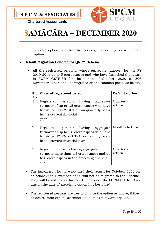

# SAMĀCĀRA – DECEMBER 2020

selected option for future tax periods, unless they revise the said option.

#### > Default Migration Scheme for QRPM Scheme

 All the registered persons, whose aggregate turnover for the FY 2019-20 is up to 5 crore rupees and who have furnished the return in FORM GSTR-3B for the month of October, 2020 by 30th November, 2020, shall be migrated on the common portal as below.

| Sr.<br>No.   | Class of registered person                                                                                                                                         | Default option      |
|--------------|--------------------------------------------------------------------------------------------------------------------------------------------------------------------|---------------------|
| $\mathbf{1}$ | Registered persons having aggregate<br>turnover of up to 1.5 crore rupees who have<br>furnished FORM GSTR-1 on quarterly basis<br>in the current financial<br>year | Quarterly<br>return |
| 2            | Registered persons having aggregate<br>turnover of up to 1.5 crore rupees who have<br>furnished FORM GSTR-1 on monthly basis<br>in the current financial year      | Monthly Return      |
| 3            | Registered persons having aggregate<br>turnover more than 1.5 crore rupees and up<br>to 5 crore rupees in the preceding financial<br>year                          | Quarterly<br>return |

- The taxpayers who have not filed their return for October, 2020 on or before 30th November, 2020 will not be migrated to the Scheme. They will be able to opt for the Scheme once the FORM GSTR-3B as due on the date of exercising option has been filed.
- The registered persons are free to change the option as above, if they so desire, from 5th of December, 2020 to 31st of January, 2021.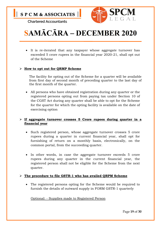

# SAMĀCĀRA – DECEMBER 2020

 It is re-iterated that any taxpayer whose aggregate turnover has exceeded 5 crore rupees in the financial year 2020-21, shall opt out of the Scheme

#### $\triangleright$  How to opt out for QRMP Scheme

The facility for opting out of the Scheme for a quarter will be available from first day of second month of preceding quarter to the last day of the first month of the quarter.

 All persons who have obtained registration during any quarter or the registered persons opting out from paying tax under Section 10 of the CGST Act during any quarter shall be able to opt for the Scheme for the quarter for which the opting facility is available on the date of exercising option

#### $\triangleright$  If aggregate turnover crosses 5 Crore rupees during quarter in a financial year

- Such registered person, whose aggregate turnover crosses 5 crore rupees during a quarter in current financial year, shall opt for furnishing of return on a monthly basis, electronically, on the common portal, from the succeeding quarter.
- In other words, in case the aggregate turnover exceeds 5 crore rupees during any quarter in the current financial year, the registered person shall not be eligible for the Scheme from the next quarter.

#### $\triangleright$  The procedure to file GSTR-1 who has availed QRPM Scheme

 The registered persons opting for the Scheme would be required to furnish the details of outward supply in FORM GSTR-1 quarterly

Optional: - Supplies made to Registered Person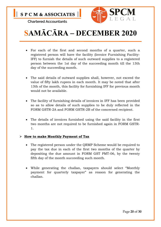



# SAMĀCĀRA – DECEMBER 2020

- For each of the first and second months of a quarter, such a registered person will have the facility (Invoice Furnishing Facility-IFF) to furnish the details of such outward supplies to a registered person between the 1st day of the succeeding month till the 13th day of the succeeding month.
- The said details of outward supplies shall, however, not exceed the value of fifty lakh rupees in each month. It may be noted that after 13th of the month, this facility for furnishing IFF for previous month would not be available.
- The facility of furnishing details of invoices in IFF has been provided so as to allow details of such supplies to be duly reflected in the FORM GSTR-2A and FORM GSTR-2B of the concerned recipient.
- The details of invoices furnished using the said facility in the first two months are not required to be furnished again in FORM GSTR-1.

#### $\triangleright$  How to make Monthly Payment of Tax

- The registered person under the QRMP Scheme would be required to pay the tax due in each of the first two months of the quarter by depositing the due amount in FORM GST PMT-06, by the twenty fifth day of the month succeeding such month.
- While generating the challan, taxpayers should select "Monthly payment for quarterly taxpayer" as reason for generating the challan.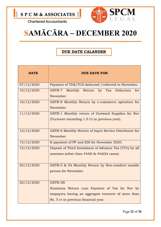



### SAMĀCĀRA – DECEMBER 2020

### DUE DATE CALANDER

| <b>DATE</b> | <b>DUE DATE FOR</b>                                                                                                                                    |
|-------------|--------------------------------------------------------------------------------------------------------------------------------------------------------|
| 07/12/2020  | Payment of TDS/TCS deducted /collected in November.                                                                                                    |
| 10/12/2020  | GSTR-7 Monthly Return by Tax Diductors<br>for<br>November.                                                                                             |
| 10/12/2020  | GSTR-8 Monthly Return by e-commerce operators for<br>November.                                                                                         |
| 11/12/2020  | GSTR-1 Monthly return of Outward Supplies for Nov<br>(Turnover exceeding 1.5 Cr.in previous year).                                                     |
| 13/12/2020  | GSTR-6 Monthly Return of Input Service Distributor for<br>November.                                                                                    |
| 15/12/2020  | E-payment of PF and ESI for November 2020.                                                                                                             |
| 15/12/2020  | Deposit of Third Instalment of Advance Tax (75%) by all<br>assesses (other than 44AD & 44ADA cases).                                                   |
| 20/12/2020  | GSTR-5 & 5A Monthly Return by Non-resident taxable<br>person for November.                                                                             |
| 20/12/2020  | GSTR-3B<br>Summary Return cum Payment of Tax for Nov by<br>taxpayers having an aggregate turnover of more than<br>Rs. 5 cr in previous financial year. |

Page 21 of 30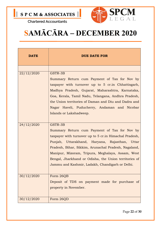

## SAMĀCĀRA – DECEMBER 2020

| <b>DATE</b> | <b>DUE DATE FOR</b>                                                                                                                                                                                                                                                                                                                                                                           |
|-------------|-----------------------------------------------------------------------------------------------------------------------------------------------------------------------------------------------------------------------------------------------------------------------------------------------------------------------------------------------------------------------------------------------|
|             |                                                                                                                                                                                                                                                                                                                                                                                               |
| 22/12/2020  | GSTR-3B<br>Summary Return cum Payment of Tax for Nov by<br>taxpayer with turnover up to 5 cr.in Chhattisgarh,<br>Madhya Pradesh, Gujarat, Maharashtra, Karnataka,<br>Goa, Kerala, Tamil Nadu, Telangana, Andhra Pradesh,<br>the Union territories of Daman and Diu and Dadra and<br>Nagar Haveli, Puducherry, Andaman and Nicobar<br>Islands or Lakshadweep.                                  |
| 24/12/2020  | GSTR-3B<br>Summary Return cum Payment of Tax for Nov by<br>taxpayer with turnover up to 5 cr. in Himachal Pradesh,<br>Punjab, Uttarakhand, Haryana, Rajasthan, Uttar<br>Pradesh, Bihar, Sikkim, Arunachal Pradesh, Nagaland,<br>Manipur, Mizoram, Tripura, Meghalaya, Assam, West<br>Bengal, Jharkhand or Odisha, the Union territories of<br>Jammu and Kashmir, Ladakh, Chandigarh or Delhi. |
| 30/12/2020  | Form 26QB<br>Deposit of TDS on payment made for purchase of<br>property in November.                                                                                                                                                                                                                                                                                                          |
| 30/12/2020  | Form 26QD                                                                                                                                                                                                                                                                                                                                                                                     |

Page 22 of 30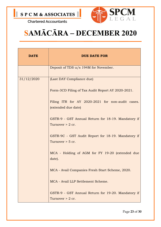

# SAMĀCĀRA – DECEMBER 2020

| <b>DATE</b> | <b>DUE DATE FOR</b>                                                     |
|-------------|-------------------------------------------------------------------------|
|             | Deposit of TDS u/s 194M for November.                                   |
| 31/12/2020  | (Last DAY Compliance due)                                               |
|             | Form-3CD Filing of Tax Audit Report AY 2020-2021.                       |
|             | Filing ITR for AY 2020-2021 for non-audit cases.<br>(extended due date) |
|             | GSTR-9 - GST Annual Return for 18-19. Mandatory if<br>Turnover > 2 cr.  |
|             | GSTR-9C - GST Audit Report for 18-19. Mandatory if<br>Turnover > 5 cr.  |
|             | MCA - Holding of AGM for FY 19-20 (extended due<br>date).               |
|             | MCA - Avail Companies Fresh Start Scheme, 2020.                         |
|             | MCA - Avail LLP Settlement Scheme.                                      |
|             | GSTR-9 - GST Annual Return for 19-20. Mandatory if<br>Turnover > 2 cr.  |

Page 23 of 30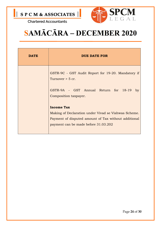



### SAMĀCĀRA – DECEMBER 2020

| <b>DATE</b> | DUE DATE FOR                                                             |  |
|-------------|--------------------------------------------------------------------------|--|
|             | GSTR-9C - GST Audit Report for 19-20. Mandatory if<br>Turnover $>$ 5 cr. |  |
|             | GSTR-9A - GST Annual Return for 18-19<br>by<br>Composition taxpayer.     |  |
|             | <b>Income Tax</b>                                                        |  |
|             | Making of Declaration under Vivad se Vishwas Scheme.                     |  |
|             | Payment of disputed amount of Tax without additional                     |  |
|             | payment can be made before 31.03.202                                     |  |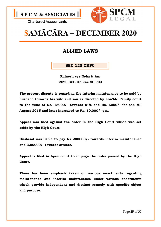



### SAMĀCĀRA – DECEMBER 2020

### ALLIED LAWS

SEC 125 CRPC

Rajnesh v/s Neha & Anr 2020 SCC OnLine SC 903

The present dispute is regarding the interim maintenance to be paid by husband towards his wife and son as directed by hon'ble Family court to the tune of Rs. 15000/- towards wife and Rs. 5000/- for son till August 2015 and later increased to Rs. 10,000/- pm.

Appeal was filed against the order in the High Court which was set aside by the High Court.

Husband was liable to pay Rs 200000/- towards interim maintenance and 3,00000/- towards arrears.

Appeal is filed in Apex court to impugn the order passed by the High Court.

There has been emphasis taken on various enactments regarding maintenance and interim maintenance under various enactments which provide independent and distinct remedy with specific object and purpose.

Page 25 of 30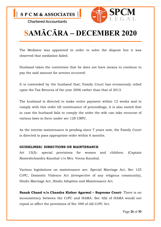



## SAMĀCĀRA – DECEMBER 2020

The Mediator was appointed in order to solve the dispute but it was observed that mediation failed.

Husband takes the contention that he does not have means to continue to pay the said amount for arrears occurred.

It is contended by the husband that; Family Court has erroneously relied upon the Tax Returns of the year 2006 rather than that of 2013.

The husband is directed to make entire payment within 12 weeks and to comply with this order till continuance of proceedings, it is also stated that in case the husband fails to comply the order the wife can take recourse of various laws in force under sec 128 CRPC.

As the interim maintenance is pending since 7 years now, the Family Court is directed to pass appropriate order within 6 months.

#### GUIDELINES/ DIRECTIONS ON MAINTENANCE

Art 15(3)- special provisions for women and children. (Captain Rameshchandra Kaushal v/s Mrs. Veena Kaushal.

Various legislations on maintenance are: Special Marriage Act, Sec 125 CrPC, Domestic Violence Act (irrespective of any religious community), Hindu Marriage Act, Hindu Adoption and Maintenance Act.

Nanak Chand v/s Chandra Kishor Agarwal - Supreme Court- There is no inconsistency between the CrPC and HAMA. Sec 4(b) of HAMA would not repeal or affect the provisions of Sec 488 of old CrPC Act.

Page 26 of 30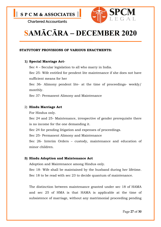

# SAMĀCĀRA – DECEMBER 2020

#### STATUTORY PROVISIONS OF VARIOUS ENACTMENTS:

#### 1) Special Marriage Act-

Sec 4 – Secular legislation to all who marry in India.

Sec 25- Wife entitled for pendent lite maintenance if she does not have sufficient means for her

Sec 36- Alimony pendent lite- at the time of proceedings- weekly/ monthly.

Sec 37- Permanent Alimony and Maintenance

#### 2) Hindu Marriage Act

For Hindus only.

Sec 24 and 25- Maintenance, irrespective of gender prerequisite there is no income for the one demanding it.

Sec 24 for pending litigation and expenses of proceedings.

Sec 25- Permanent Alimony and Maintenance

Sec 26- Interim Orders – custody, maintenance and education of minor children.

#### 3) Hindu Adoption and Maintenance Act

Adoption and Maintenance among Hindus only.

Sec 18- Wife shall be maintained by the husband during her lifetime. Sec 18 to be read with sec 23 to decide quantum of maintenance.

The distinction between maintenance granted under sec 18 of HAMA and sec 25 of HMA is that HAMA is applicable at the time of subsistence of marriage, without any matrimonial proceeding pending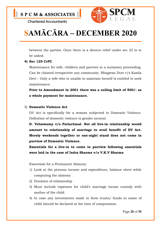

# SAMĀCĀRA – DECEMBER 2020

between the parties. Once there is a divorce relief under sec 25 is to be asked.

#### 4) Sec 125 CrPC

Maintenance for wife, children and parents in a summary proceeding. Can be claimed irrespective any community. Bhagwan Dutt v/s Kamla Devi – Only a wife who is unable to maintain herself is entitled to seek maintenance.

Prior to Amendment in 2001 there was a ceiling limit of 500/- as a whole payment for maintenance.

#### 5) Domestic Violence Act

DV Act is specifically for a woman subjected to Domestic Violence. Definition of domestic violence is gender neutral.

D. Veluswamy v/s Patiachmal- Not all live-in relationship would amount to relationship of marriage to avail benefit of DV Act. Merely weekends together or one-night stand does not come in purview of Domestic Violence.

Essentials for a live-in to come in purview following essentials were laid in the case of Indra Sharma v/s V.K.V Sharma

Essentials for a Permanent Alimony:

- 1) Look at the persons income and expenditure, balance sheet while computing the alimony
- 2) Duration of relationship
- 3) Must include expenses for child's marriage incase custody with mother of the child.
- 4) In case any investments made in form trusts/ funds in name of child should be declared at the time of computation.

Page 28 of 30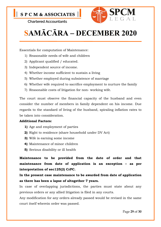



# SAMĀCĀRA – DECEMBER 2020

Essentials for computation of Maintenance:

- 1) Reasonable needs of wife and children
- 2) Applicant qualified / educated.
- 3) Independent source of income.
- 4) Whether income sufficient to sustain a living
- 5) Whether employed during subsistence of marriage
- 6) Whether wife required to sacrifice employment to nurture the family
- 7) Reasonable costs of litigation for non- working wife.

The court must observe the financial capacity of the husband and even consider the number of members in family dependent on his income. Due regards to the standard of living of the husband, spiraling inflation rates to be taken into consideration.

#### Additional Factors:

- 1) Age and employment of parties
- 2) Right to residence (share household under DV Act)
- 3) Wife is earning some income
- 4) Maintenance of minor children
- 5) Serious disability or ill health

Maintenance to be provided from the date of order and that maintenance from date of application is an exception – as per interpretation of sec125(2) CrPC.

In the present case maintenance to be awarded from date of application as there has been a lapse of altogether 7 years.

In case of overlapping jurisdictions, the parties must state about any previous orders or any allied litigation is filed in any courts.

Any modification for any orders already passed would be revised in the same court itself wherein order was passed.

Page 29 of 30